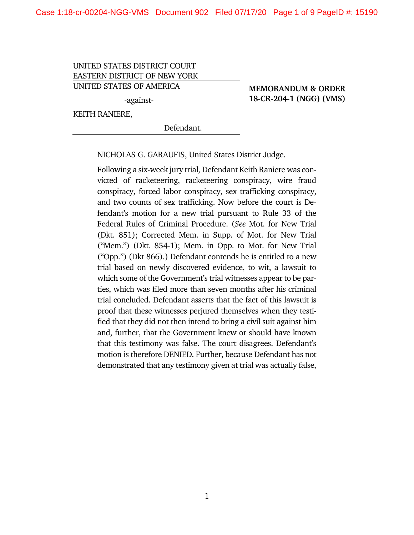#### UNITED STATES DISTRICT COURT EASTERN DISTRICT OF NEW YORK UNITED STATES OF AMERICA

-against-

### **MEMORANDUM & ORDER 18-CR-204-1 (NGG) (VMS)**

KEITH RANIERE,

Defendant.

NICHOLAS G. GARAUFIS, United States District Judge.

Following a six-week jury trial, Defendant Keith Raniere was convicted of racketeering, racketeering conspiracy, wire fraud conspiracy, forced labor conspiracy, sex trafficking conspiracy, and two counts of sex trafficking. Now before the court is Defendant's motion for a new trial pursuant to Rule 33 of the Federal Rules of Criminal Procedure. (*See* Mot. for New Trial (Dkt. 851); Corrected Mem. in Supp. of Mot. for New Trial ("Mem.") (Dkt. 854-1); Mem. in Opp. to Mot. for New Trial ("Opp.") (Dkt 866).) Defendant contends he is entitled to a new trial based on newly discovered evidence, to wit, a lawsuit to which some of the Government's trial witnesses appear to be parties, which was filed more than seven months after his criminal trial concluded. Defendant asserts that the fact of this lawsuit is proof that these witnesses perjured themselves when they testified that they did not then intend to bring a civil suit against him and, further, that the Government knew or should have known that this testimony was false. The court disagrees. Defendant's motion is therefore DENIED. Further, because Defendant has not demonstrated that any testimony given at trial was actually false,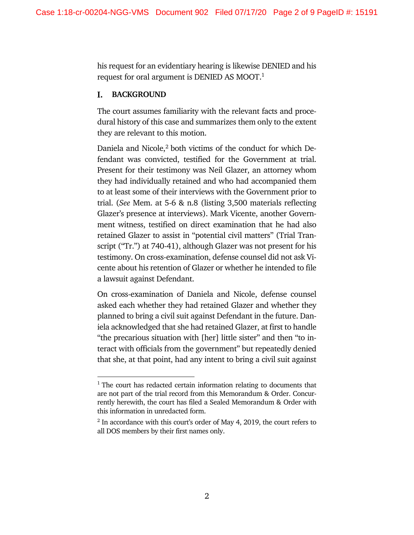his request for an evidentiary hearing is likewise DENIED and his request for oral argument is DENIED AS MOOT.1

#### **BACKGROUND** L.

The court assumes familiarity with the relevant facts and procedural history of this case and summarizes them only to the extent they are relevant to this motion.

Daniela and Nicole,<sup>2</sup> both victims of the conduct for which Defendant was convicted, testified for the Government at trial. Present for their testimony was Neil Glazer, an attorney whom they had individually retained and who had accompanied them to at least some of their interviews with the Government prior to trial. (*See* Mem. at 5-6 & n.8 (listing 3,500 materials reflecting Glazer's presence at interviews). Mark Vicente, another Government witness, testified on direct examination that he had also retained Glazer to assist in "potential civil matters" (Trial Transcript ("Tr.") at 740-41), although Glazer was not present for his testimony. On cross-examination, defense counsel did not ask Vicente about his retention of Glazer or whether he intended to file a lawsuit against Defendant.

On cross-examination of Daniela and Nicole, defense counsel asked each whether they had retained Glazer and whether they planned to bring a civil suit against Defendant in the future. Daniela acknowledged that she had retained Glazer, at first to handle "the precarious situation with [her] little sister" and then "to interact with officials from the government" but repeatedly denied that she, at that point, had any intent to bring a civil suit against

 $1$ <sup>1</sup> The court has redacted certain information relating to documents that are not part of the trial record from this Memorandum & Order. Concurrently herewith, the court has filed a Sealed Memorandum & Order with this information in unredacted form.

<sup>&</sup>lt;sup>2</sup> In accordance with this court's order of May 4, 2019, the court refers to all DOS members by their first names only.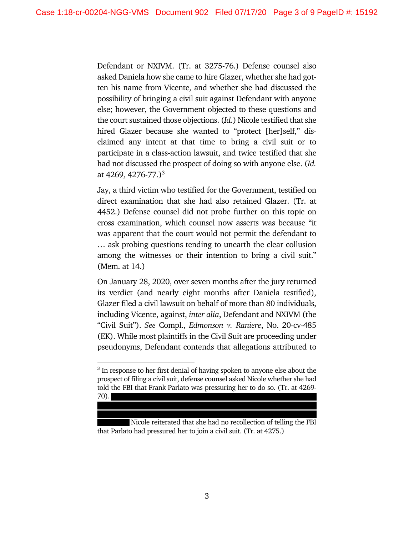Defendant or NXIVM. (Tr. at 3275-76.) Defense counsel also asked Daniela how she came to hire Glazer, whether she had gotten his name from Vicente, and whether she had discussed the possibility of bringing a civil suit against Defendant with anyone else; however, the Government objected to these questions and the court sustained those objections. (*Id.*) Nicole testified that she hired Glazer because she wanted to "protect [her]self," disclaimed any intent at that time to bring a civil suit or to participate in a class-action lawsuit, and twice testified that she had not discussed the prospect of doing so with anyone else. (*Id.* at 4269, 4276-77.)<sup>3</sup>

Jay, a third victim who testified for the Government, testified on direct examination that she had also retained Glazer. (Tr. at 4452.) Defense counsel did not probe further on this topic on cross examination, which counsel now asserts was because "it was apparent that the court would not permit the defendant to … ask probing questions tending to unearth the clear collusion among the witnesses or their intention to bring a civil suit." (Mem. at 14.)

On January 28, 2020, over seven months after the jury returned its verdict (and nearly eight months after Daniela testified), Glazer filed a civil lawsuit on behalf of more than 80 individuals, including Vicente, against, *inter alia*, Defendant and NXIVM (the "Civil Suit"). *See* Compl., *Edmonson v. Raniere*, No. 20-cv-485 (EK). While most plaintiffs in the Civil Suit are proceeding under pseudonyms, Defendant contends that allegations attributed to

Nicole reiterated that she had no recollection of telling the FBI that Parlato had pressured her to join a civil suit. (Tr. at 4275.)

<sup>&</sup>lt;sup>3</sup> In response to her first denial of having spoken to anyone else about the prospect of filing a civil suit, defense counsel asked Nicole whether she had told the FBI that Frank Parlato was pressuring her to do so. (Tr. at 4269- 70).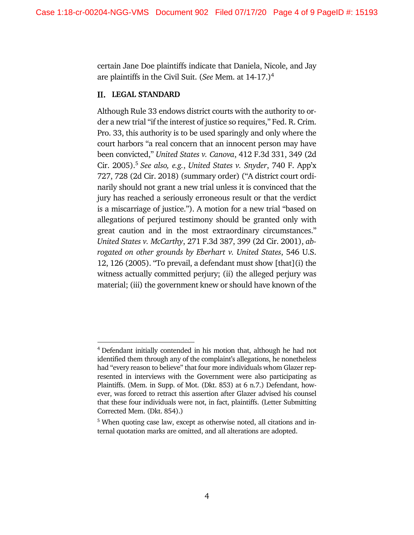certain Jane Doe plaintiffs indicate that Daniela, Nicole, and Jay are plaintiffs in the Civil Suit. (*See* Mem. at 14-17.)4

### **LEGAL STANDARD**

Although Rule 33 endows district courts with the authority to order a new trial "if the interest of justice so requires," Fed. R. Crim. Pro. 33, this authority is to be used sparingly and only where the court harbors "a real concern that an innocent person may have been convicted," *United States v. Canova*, 412 F.3d 331, 349 (2d Cir. 2005).5 *See also, e.g.*, *United States v. Snyder*, 740 F. App'x 727, 728 (2d Cir. 2018) (summary order) ("A district court ordinarily should not grant a new trial unless it is convinced that the jury has reached a seriously erroneous result or that the verdict is a miscarriage of justice."). A motion for a new trial "based on allegations of perjured testimony should be granted only with great caution and in the most extraordinary circumstances." *United States v. McCarthy*, 271 F.3d 387, 399 (2d Cir. 2001), *abrogated on other grounds by Eberhart v. United States*, 546 U.S. 12, 126 (2005). "To prevail, a defendant must show [that](i) the witness actually committed perjury; (ii) the alleged perjury was material; (iii) the government knew or should have known of the

<sup>4</sup> Defendant initially contended in his motion that, although he had not identified them through any of the complaint's allegations, he nonetheless had "every reason to believe" that four more individuals whom Glazer represented in interviews with the Government were also participating as Plaintiffs. (Mem. in Supp. of Mot. (Dkt. 853) at 6 n.7.) Defendant, however, was forced to retract this assertion after Glazer advised his counsel that these four individuals were not, in fact, plaintiffs. (Letter Submitting Corrected Mem. (Dkt. 854).)

<sup>5</sup> When quoting case law, except as otherwise noted, all citations and internal quotation marks are omitted, and all alterations are adopted.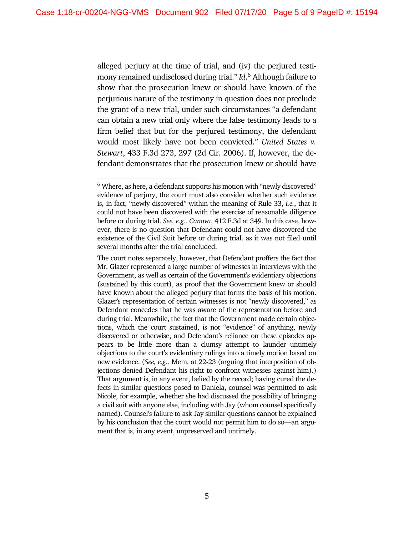alleged perjury at the time of trial, and (iv) the perjured testimony remained undisclosed during trial." *Id*. <sup>6</sup> Although failure to show that the prosecution knew or should have known of the perjurious nature of the testimony in question does not preclude the grant of a new trial, under such circumstances "a defendant can obtain a new trial only where the false testimony leads to a firm belief that but for the perjured testimony, the defendant would most likely have not been convicted." *United States v. Stewart*, 433 F.3d 273, 297 (2d Cir. 2006). If, however, the defendant demonstrates that the prosecution knew or should have

<sup>&</sup>lt;sup>6</sup> Where, as here, a defendant supports his motion with "newly discovered" evidence of perjury, the court must also consider whether such evidence is, in fact, "newly discovered" within the meaning of Rule 33, *i.e.*, that it could not have been discovered with the exercise of reasonable diligence before or during trial. *See, e.g.*, *Canova*, 412 F.3d at 349. In this case, however, there is no question that Defendant could not have discovered the existence of the Civil Suit before or during trial. as it was not filed until several months after the trial concluded.

The court notes separately, however, that Defendant proffers the fact that Mr. Glazer represented a large number of witnesses in interviews with the Government, as well as certain of the Government's evidentiary objections (sustained by this court), as proof that the Government knew or should have known about the alleged perjury that forms the basis of his motion. Glazer's representation of certain witnesses is not "newly discovered," as Defendant concedes that he was aware of the representation before and during trial. Meanwhile, the fact that the Government made certain objections, which the court sustained, is not "evidence" of anything, newly discovered or otherwise, and Defendant's reliance on these episodes appears to be little more than a clumsy attempt to launder untimely objections to the court's evidentiary rulings into a timely motion based on new evidence. (*See, e.g.*, Mem. at 22-23 (arguing that interposition of objections denied Defendant his right to confront witnesses against him).) That argument is, in any event, belied by the record; having cured the defects in similar questions posed to Daniela, counsel was permitted to ask Nicole, for example, whether she had discussed the possibility of bringing a civil suit with anyone else, including with Jay (whom counsel specifically named). Counsel's failure to ask Jay similar questions cannot be explained by his conclusion that the court would not permit him to do so—an argument that is, in any event, unpreserved and untimely.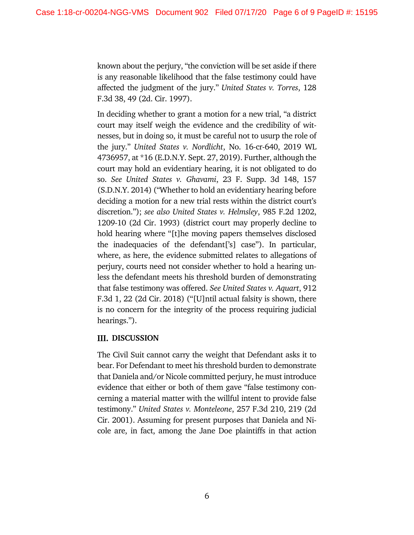known about the perjury, "the conviction will be set aside if there is any reasonable likelihood that the false testimony could have affected the judgment of the jury." *United States v. Torres*, 128 F.3d 38, 49 (2d. Cir. 1997).

In deciding whether to grant a motion for a new trial, "a district court may itself weigh the evidence and the credibility of witnesses, but in doing so, it must be careful not to usurp the role of the jury." *United States v. Nordlicht*, No. 16-cr-640, 2019 WL 4736957, at \*16 (E.D.N.Y. Sept. 27, 2019). Further, although the court may hold an evidentiary hearing, it is not obligated to do so. *See United States v. Ghavami*, 23 F. Supp. 3d 148, 157 (S.D.N.Y. 2014) ("Whether to hold an evidentiary hearing before deciding a motion for a new trial rests within the district court's discretion."); *see also United States v. Helmsley*, 985 F.2d 1202, 1209-10 (2d Cir. 1993) (district court may properly decline to hold hearing where "[t]he moving papers themselves disclosed the inadequacies of the defendant['s] case"). In particular, where, as here, the evidence submitted relates to allegations of perjury, courts need not consider whether to hold a hearing unless the defendant meets his threshold burden of demonstrating that false testimony was offered. *See United States v. Aquart*, 912 F.3d 1, 22 (2d Cir. 2018) ("[U]ntil actual falsity is shown, there is no concern for the integrity of the process requiring judicial hearings.").

# **III. DISCUSSION**

The Civil Suit cannot carry the weight that Defendant asks it to bear. For Defendant to meet his threshold burden to demonstrate that Daniela and/or Nicole committed perjury, he must introduce evidence that either or both of them gave "false testimony concerning a material matter with the willful intent to provide false testimony." *United States v. Monteleone*, 257 F.3d 210, 219 (2d Cir. 2001). Assuming for present purposes that Daniela and Nicole are, in fact, among the Jane Doe plaintiffs in that action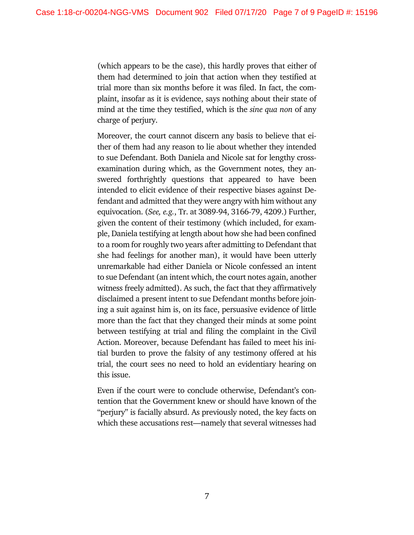(which appears to be the case), this hardly proves that either of them had determined to join that action when they testified at trial more than six months before it was filed. In fact, the complaint, insofar as it is evidence, says nothing about their state of mind at the time they testified, which is the *sine qua non* of any charge of perjury.

Moreover, the court cannot discern any basis to believe that either of them had any reason to lie about whether they intended to sue Defendant. Both Daniela and Nicole sat for lengthy crossexamination during which, as the Government notes, they answered forthrightly questions that appeared to have been intended to elicit evidence of their respective biases against Defendant and admitted that they were angry with him without any equivocation. (*See, e.g.*, Tr. at 3089-94, 3166-79, 4209.) Further, given the content of their testimony (which included, for example, Daniela testifying at length about how she had been confined to a room for roughly two years after admitting to Defendant that she had feelings for another man), it would have been utterly unremarkable had either Daniela or Nicole confessed an intent to sue Defendant (an intent which, the court notes again, another witness freely admitted). As such, the fact that they affirmatively disclaimed a present intent to sue Defendant months before joining a suit against him is, on its face, persuasive evidence of little more than the fact that they changed their minds at some point between testifying at trial and filing the complaint in the Civil Action. Moreover, because Defendant has failed to meet his initial burden to prove the falsity of any testimony offered at his trial, the court sees no need to hold an evidentiary hearing on this issue.

Even if the court were to conclude otherwise, Defendant's contention that the Government knew or should have known of the "perjury" is facially absurd. As previously noted, the key facts on which these accusations rest—namely that several witnesses had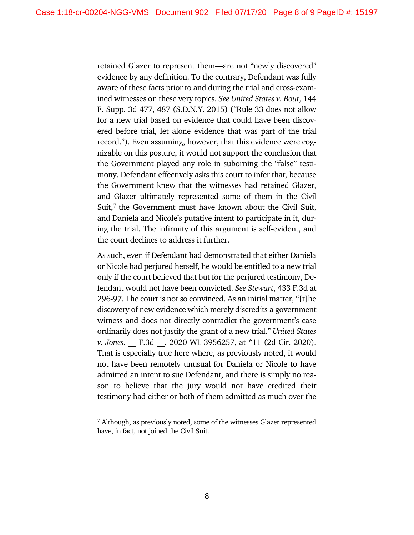retained Glazer to represent them—are not "newly discovered" evidence by any definition. To the contrary, Defendant was fully aware of these facts prior to and during the trial and cross-examined witnesses on these very topics. *See United States v. Bout*, 144 F. Supp. 3d 477, 487 (S.D.N.Y. 2015) ("Rule 33 does not allow for a new trial based on evidence that could have been discovered before trial, let alone evidence that was part of the trial record."). Even assuming, however, that this evidence were cognizable on this posture, it would not support the conclusion that the Government played any role in suborning the "false" testimony. Defendant effectively asks this court to infer that, because the Government knew that the witnesses had retained Glazer, and Glazer ultimately represented some of them in the Civil Suit,<sup>7</sup> the Government must have known about the Civil Suit, and Daniela and Nicole's putative intent to participate in it, during the trial. The infirmity of this argument is self-evident, and the court declines to address it further.

As such, even if Defendant had demonstrated that either Daniela or Nicole had perjured herself, he would be entitled to a new trial only if the court believed that but for the perjured testimony, Defendant would not have been convicted. *See Stewart*, 433 F.3d at 296-97. The court is not so convinced. As an initial matter, "[t]he discovery of new evidence which merely discredits a government witness and does not directly contradict the government's case ordinarily does not justify the grant of a new trial." *United States v. Jones*, \_\_ F.3d \_\_, 2020 WL 3956257, at \*11 (2d Cir. 2020). That is especially true here where, as previously noted, it would not have been remotely unusual for Daniela or Nicole to have admitted an intent to sue Defendant, and there is simply no reason to believe that the jury would not have credited their testimony had either or both of them admitted as much over the

<sup>7</sup> Although, as previously noted, some of the witnesses Glazer represented have, in fact, not joined the Civil Suit.